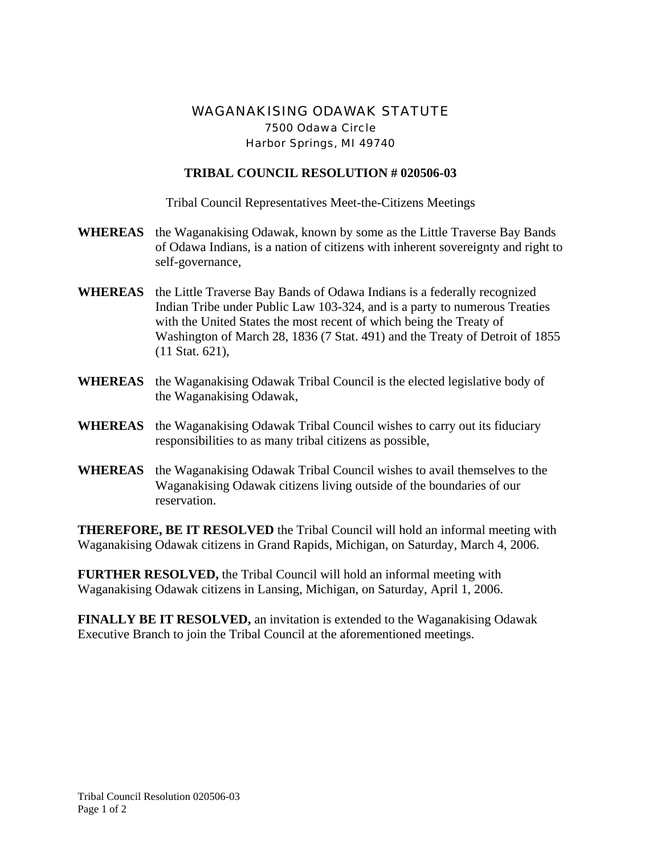## WAGANAKISING ODAWAK STATUTE 7500 Odawa Circle Harbor Springs, MI 49740

## **TRIBAL COUNCIL RESOLUTION # 020506-03**

Tribal Council Representatives Meet-the-Citizens Meetings

- **WHEREAS** the Waganakising Odawak, known by some as the Little Traverse Bay Bands of Odawa Indians, is a nation of citizens with inherent sovereignty and right to self-governance,
- **WHEREAS** the Little Traverse Bay Bands of Odawa Indians is a federally recognized Indian Tribe under Public Law 103-324, and is a party to numerous Treaties with the United States the most recent of which being the Treaty of Washington of March 28, 1836 (7 Stat. 491) and the Treaty of Detroit of 1855 (11 Stat. 621),
- **WHEREAS** the Waganakising Odawak Tribal Council is the elected legislative body of the Waganakising Odawak,
- **WHEREAS** the Waganakising Odawak Tribal Council wishes to carry out its fiduciary responsibilities to as many tribal citizens as possible,
- **WHEREAS** the Waganakising Odawak Tribal Council wishes to avail themselves to the Waganakising Odawak citizens living outside of the boundaries of our reservation.

**THEREFORE, BE IT RESOLVED** the Tribal Council will hold an informal meeting with Waganakising Odawak citizens in Grand Rapids, Michigan, on Saturday, March 4, 2006.

**FURTHER RESOLVED,** the Tribal Council will hold an informal meeting with Waganakising Odawak citizens in Lansing, Michigan, on Saturday, April 1, 2006.

**FINALLY BE IT RESOLVED,** an invitation is extended to the Waganakising Odawak Executive Branch to join the Tribal Council at the aforementioned meetings.